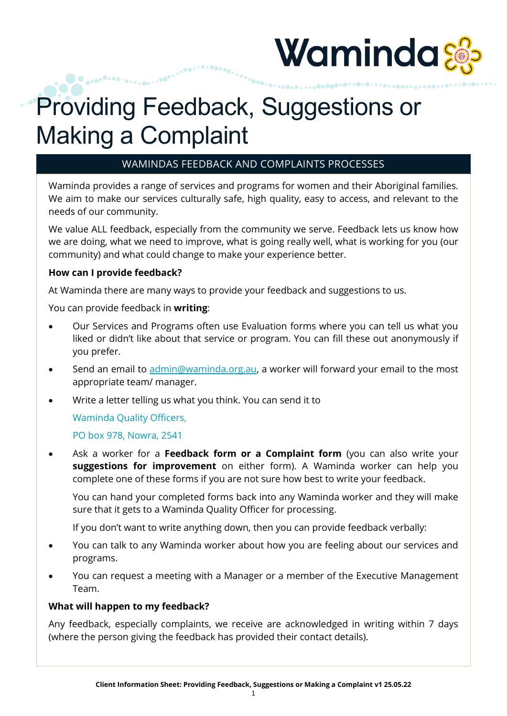

# Providing Feedback, Suggestions or Making a Complaint

## WAMINDAS FEEDBACK AND COMPLAINTS PROCESSES

Waminda provides a range of services and programs for women and their Aboriginal families. We aim to make our services culturally safe, high quality, easy to access, and relevant to the needs of our community.

We value ALL feedback, especially from the community we serve. Feedback lets us know how we are doing, what we need to improve, what is going really well, what is working for you (our community) and what could change to make your experience better.

#### **How can I provide feedback?**

At Waminda there are many ways to provide your feedback and suggestions to us.

You can provide feedback in **writing**:

...........

- Our Services and Programs often use Evaluation forms where you can tell us what you liked or didn't like about that service or program. You can fill these out anonymously if you prefer.
- Send an email to [admin@waminda.org.au,](mailto:admin@waminda.org.au) a worker will forward your email to the most appropriate team/ manager.
- Write a letter telling us what you think. You can send it to

Waminda Quality Officers,

PO box 978, Nowra, 2541

• Ask a worker for a **Feedback form or a Complaint form** (you can also write your **suggestions for improvement** on either form). A Waminda worker can help you complete one of these forms if you are not sure how best to write your feedback.

You can hand your completed forms back into any Waminda worker and they will make sure that it gets to a Waminda Quality Officer for processing.

If you don't want to write anything down, then you can provide feedback verbally:

- You can talk to any Waminda worker about how you are feeling about our services and programs.
- You can request a meeting with a Manager or a member of the Executive Management Team.

### **What will happen to my feedback?**

Any feedback, especially complaints, we receive are acknowledged in writing within 7 days (where the person giving the feedback has provided their contact details).

1